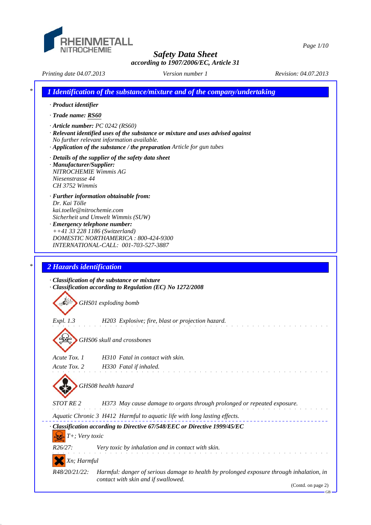

*Safety Data Sheet*

*Page 1/10*

*according to 1907/2006/EC, Article 31*

*Printing date 04.07.2013 Revision: 04.07.2013 Version number 1*

*\* 1 Identification of the substance/mixture and of the company/undertaking · Product identifier · Trade name: RS60 · Article number: PC 0242 (RS60) · Relevant identified uses of the substance or mixture and uses advised against No further relevant information available. · Application of the substance / the preparation Article for gun tubes · Details of the supplier of the safety data sheet · Manufacturer/Supplier: NITROCHEMIE Wimmis AG Niesenstrasse 44 CH 3752 Wimmis · Further information obtainable from: Dr. Kai Tölle kai.toelle@nitrochemie.com Sicherheit und Umwelt Wimmis (SUW) · Emergency telephone number: ++41 33 228 1186 (Switzerland) DOMESTIC NORTHAMERICA : 800-424-9300 INTERNATIONAL-CALL: 001-703-527-3887 \* 2 Hazards identification · Classification of the substance or mixture · Classification according to Regulation (EC) No 1272/2008 GHS01 exploding bomb Expl. 1.3 H203 Explosive; fire, blast or projection hazard. GHS06 skull and crossbones Acute Tox. 1 H310 Fatal in contact with skin. Acute Tox. 2 H330 Fatal if inhaled. GHS08 health hazard STOT RE 2 H373 May cause damage to organs through prolonged or repeated exposure. Aquatic Chronic 3 H412 Harmful to aquatic life with long lasting effects. · Classification according to Directive 67/548/EEC or Directive 1999/45/EC T+; Very toxic R26/27: Very toxic by inhalation and in contact with skin. Xn; Harmful R48/20/21/22: Harmful: danger of serious damage to health by prolonged exposure through inhalation, in contact with skin and if swallowed.* (Contd. on page 2)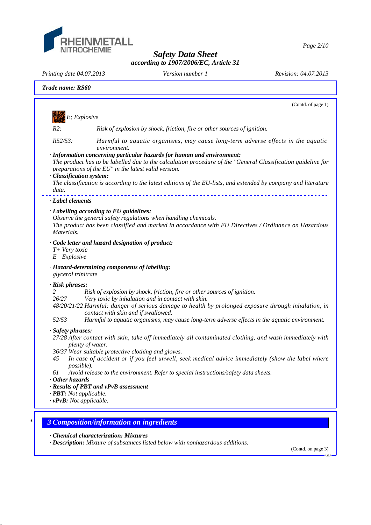

*Page 2/10*

*Safety Data Sheet according to 1907/2006/EC, Article 31*

*Printing date 04.07.2013 Revision: 04.07.2013 Version number 1*

|                                                                       | (Contd. of page 1)                                                                                                                                                                                                                                                                                                                                               |
|-----------------------------------------------------------------------|------------------------------------------------------------------------------------------------------------------------------------------------------------------------------------------------------------------------------------------------------------------------------------------------------------------------------------------------------------------|
|                                                                       | E; Explosive                                                                                                                                                                                                                                                                                                                                                     |
| R2:                                                                   | Risk of explosion by shock, friction, fire or other sources of ignition.                                                                                                                                                                                                                                                                                         |
| R52/53:                                                               | Harmful to aquatic organisms, may cause long-term adverse effects in the aquatic<br>environment.                                                                                                                                                                                                                                                                 |
| · Classification system:                                              | · Information concerning particular hazards for human and environment:<br>The product has to be labelled due to the calculation procedure of the "General Classification guideline for<br>preparations of the EU" in the latest valid version.<br>The classification is according to the latest editions of the EU-lists, and extended by company and literature |
| data.                                                                 |                                                                                                                                                                                                                                                                                                                                                                  |
| · Label elements                                                      |                                                                                                                                                                                                                                                                                                                                                                  |
|                                                                       | · Labelling according to EU guidelines:                                                                                                                                                                                                                                                                                                                          |
| Materials.                                                            | Observe the general safety regulations when handling chemicals.<br>The product has been classified and marked in accordance with EU Directives / Ordinance on Hazardous                                                                                                                                                                                          |
| T+ Very toxic<br>Explosive<br>E                                       | · Code letter and hazard designation of product:                                                                                                                                                                                                                                                                                                                 |
| glycerol trinitrate                                                   | · Hazard-determining components of labelling:                                                                                                                                                                                                                                                                                                                    |
| · Risk phrases:                                                       |                                                                                                                                                                                                                                                                                                                                                                  |
| 2<br>26/27                                                            | Risk of explosion by shock, friction, fire or other sources of ignition.                                                                                                                                                                                                                                                                                         |
|                                                                       | Very toxic by inhalation and in contact with skin.<br>48/20/21/22 Harmful: danger of serious damage to health by prolonged exposure through inhalation, in<br>contact with skin and if swallowed.                                                                                                                                                                |
| 52/53                                                                 | Harmful to aquatic organisms, may cause long-term adverse effects in the aquatic environment.                                                                                                                                                                                                                                                                    |
| · Safety phrases:                                                     | 27/28 After contact with skin, take off immediately all contaminated clothing, and wash immediately with<br>plenty of water.                                                                                                                                                                                                                                     |
| 45<br>possible).                                                      | 36/37 Wear suitable protective clothing and gloves.<br>In case of accident or if you feel unwell, seek medical advice immediately (show the label where                                                                                                                                                                                                          |
| 61<br>$\cdot$ Other hazards                                           | Avoid release to the environment. Refer to special instructions/safety data sheets.                                                                                                                                                                                                                                                                              |
|                                                                       | · Results of PBT and vPvB assessment                                                                                                                                                                                                                                                                                                                             |
|                                                                       |                                                                                                                                                                                                                                                                                                                                                                  |
| $\cdot$ <b>PBT:</b> Not applicable.<br>$\cdot v$ PvB: Not applicable. |                                                                                                                                                                                                                                                                                                                                                                  |

*· Chemical characterization: Mixtures*

*· Description: Mixture of substances listed below with nonhazardous additions.*

(Contd. on page 3) GB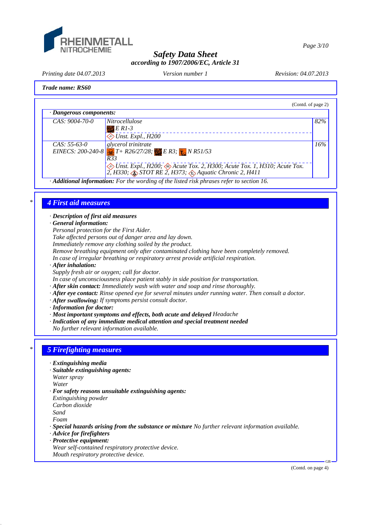

*Page 3/10*

## *Safety Data Sheet according to 1907/2006/EC, Article 31*

*Printing date 04.07.2013 Revision: 04.07.2013 Version number 1*

### *Trade name: RS60*

| (Contd. of page 2)                                                                                                                                                                                                                                                                              |     |
|-------------------------------------------------------------------------------------------------------------------------------------------------------------------------------------------------------------------------------------------------------------------------------------------------|-----|
| · Dangerous components:                                                                                                                                                                                                                                                                         |     |
| $CAS: 9004-70-0$<br><i>Nitrocellulose</i><br>$E$ R1-3<br>$\Leftrightarrow$ Unst. Expl., H200                                                                                                                                                                                                    | 82% |
| glycerol trinitrate<br>$CAS: 55-63-0$<br>EINECS: 200-240-8 $T + R26/27/28$ ; ER3; $\frac{1}{27}$ N R51/53<br>R33<br><i>Dinst. Expl., H200; <math>\otimes</math> Acute Tox. 2, H300; Acute Tox. 1, H310; Acute Tox.</i><br>2, H330; $\otimes$ STOT RE 2, H373; $\otimes$ Aquatic Chronic 2, H411 | 16% |

*· Additional information: For the wording of the listed risk phrases refer to section 16.*

### *\* 4 First aid measures*

*· Description of first aid measures*

*· General information:*

*Personal protection for the First Aider.*

*Take affected persons out of danger area and lay down.*

*Immediately remove any clothing soiled by the product.*

*Remove breathing equipment only after contaminated clothing have been completely removed.*

*In case of irregular breathing or respiratory arrest provide artificial respiration.*

*· After inhalation:*

*Supply fresh air or oxygen; call for doctor.*

*In case of unconsciousness place patient stably in side position for transportation.*

- *· After skin contact: Immediately wash with water and soap and rinse thoroughly.*
- *· After eye contact: Rinse opened eye for several minutes under running water. Then consult a doctor.*
- *· After swallowing: If symptoms persist consult doctor.*
- *· Information for doctor:*
- *· Most important symptoms and effects, both acute and delayed Headache*
- *· Indication of any immediate medical attention and special treatment needed*

*No further relevant information available.*

# *\* 5 Firefighting measures*

- *· Extinguishing media*
- *· Suitable extinguishing agents:*

*Water spray*

*Water*

- *· For safety reasons unsuitable extinguishing agents:*
- *Extinguishing powder*

*Carbon dioxide*

*Sand*

*Foam*

*· Special hazards arising from the substance or mixture No further relevant information available.*

- *· Advice for firefighters*
- *· Protective equipment:*
- *Wear self-contained respiratory protective device.*

*Mouth respiratory protective device.*

GB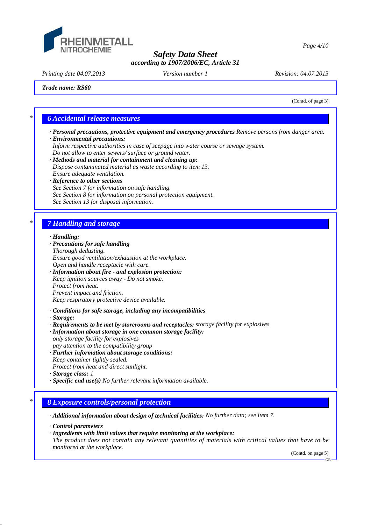

*Printing date 04.07.2013 Revision: 04.07.2013 Version number 1*

*Trade name: RS60*

(Contd. of page 3)

## *\* 6 Accidental release measures*

- *· Personal precautions, protective equipment and emergency procedures Remove persons from danger area.*
- *· Environmental precautions:*
- *Inform respective authorities in case of seepage into water course or sewage system.*
- *Do not allow to enter sewers/ surface or ground water.*
- *· Methods and material for containment and cleaning up: Dispose contaminated material as waste according to item 13. Ensure adequate ventilation.*
- *· Reference to other sections*
- *See Section 7 for information on safe handling.*
- *See Section 8 for information on personal protection equipment.*
- *See Section 13 for disposal information.*

## *\* 7 Handling and storage*

#### *· Handling:*

- *· Precautions for safe handling Thorough dedusting. Ensure good ventilation/exhaustion at the workplace. Open and handle receptacle with care. · Information about fire - and explosion protection: Keep ignition sources away - Do not smoke. Protect from heat. Prevent impact and friction. Keep respiratory protective device available. · Conditions for safe storage, including any incompatibilities · Storage:*
- *· Requirements to be met by storerooms and receptacles: storage facility for explosives*
- *· Information about storage in one common storage facility: only storage facility for explosives*
- *pay attention to the compatibility group*
- *· Further information about storage conditions:*
- *Keep container tightly sealed.*
- *Protect from heat and direct sunlight.*
- *· Storage class: 1*
- *· Specific end use(s) No further relevant information available.*

## *\* 8 Exposure controls/personal protection*

*· Additional information about design of technical facilities: No further data; see item 7.*

*· Control parameters*

*· Ingredients with limit values that require monitoring at the workplace:*

*The product does not contain any relevant quantities of materials with critical values that have to be monitored at the workplace.*

(Contd. on page 5)

GB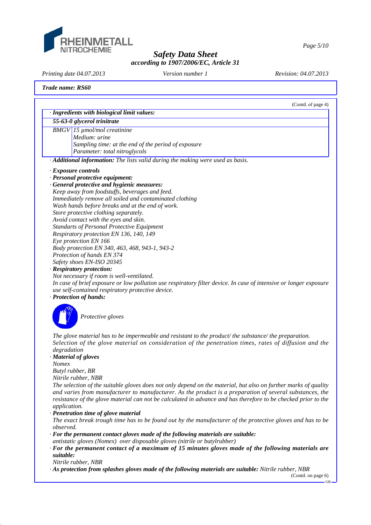

*Page 5/10*

## *Safety Data Sheet according to 1907/2006/EC, Article 31*

*Printing date 04.07.2013 Revision: 04.07.2013 Version number 1*

### *Trade name: RS60*

|              | (Contd. of page 4)                                                                                                                                                                                                         |
|--------------|----------------------------------------------------------------------------------------------------------------------------------------------------------------------------------------------------------------------------|
|              | · Ingredients with biological limit values:                                                                                                                                                                                |
|              | 55-63-0 glycerol trinitrate                                                                                                                                                                                                |
|              | $BMGV$ 15 $\mu$ mol/mol creatinine                                                                                                                                                                                         |
|              | Medium: urine                                                                                                                                                                                                              |
|              | Sampling time: at the end of the period of exposure                                                                                                                                                                        |
|              | Parameter: total nitroglycols                                                                                                                                                                                              |
|              | · Additional information: The lists valid during the making were used as basis.                                                                                                                                            |
|              | · Exposure controls                                                                                                                                                                                                        |
|              | · Personal protective equipment:                                                                                                                                                                                           |
|              | · General protective and hygienic measures:                                                                                                                                                                                |
|              | Keep away from foodstuffs, beverages and feed.                                                                                                                                                                             |
|              | Immediately remove all soiled and contaminated clothing                                                                                                                                                                    |
|              | Wash hands before breaks and at the end of work.                                                                                                                                                                           |
|              | Store protective clothing separately.                                                                                                                                                                                      |
|              | Avoid contact with the eyes and skin.                                                                                                                                                                                      |
|              | <b>Standarts of Personal Protective Equipment</b>                                                                                                                                                                          |
|              | Respiratory protection EN 136, 140, 149                                                                                                                                                                                    |
|              | Eye protection EN 166                                                                                                                                                                                                      |
|              | Body protection EN 340, 463, 468, 943-1, 943-2                                                                                                                                                                             |
|              | Protection of hands EN 374                                                                                                                                                                                                 |
|              | Safety shoes EN-ISO 20345                                                                                                                                                                                                  |
|              | · Respiratory protection:                                                                                                                                                                                                  |
|              | Not necessary if room is well-ventilated.                                                                                                                                                                                  |
|              | In case of brief exposure or low pollution use respiratory filter device. In case of intensive or longer exposure                                                                                                          |
|              | use self-contained respiratory protective device.                                                                                                                                                                          |
|              | · Protection of hands:                                                                                                                                                                                                     |
|              |                                                                                                                                                                                                                            |
|              | Protective gloves                                                                                                                                                                                                          |
|              |                                                                                                                                                                                                                            |
|              | The glove material has to be impermeable and resistant to the product/the substance/the preparation.                                                                                                                       |
|              | Selection of the glove material on consideration of the penetration times, rates of diffusion and the                                                                                                                      |
| degradation  |                                                                                                                                                                                                                            |
|              | · Material of gloves                                                                                                                                                                                                       |
| <b>Nomex</b> |                                                                                                                                                                                                                            |
|              | Butyl rubber, BR                                                                                                                                                                                                           |
|              | Nitrile rubber, NBR                                                                                                                                                                                                        |
|              | The selection of the suitable gloves does not only depend on the material, but also on further marks of quality                                                                                                            |
|              | and varies from manufacturer to manufacturer. As the product is a preparation of several substances, the<br>resistance of the glove material can not be calculated in advance and has therefore to be checked prior to the |

*application.*

*· Penetration time of glove material*

*The exact break trough time has to be found out by the manufacturer of the protective gloves and has to be observed.*

*· For the permanent contact gloves made of the following materials are suitable:*

*antistatic gloves (Nomex) over disposable gloves (nitrile or butylrubber)*

*· For the permanent contact of a maximum of 15 minutes gloves made of the following materials are suitable:*

*Nitrile rubber, NBR*

*· As protection from splashes gloves made of the following materials are suitable: Nitrile rubber, NBR*

<sup>(</sup>Contd. on page 6)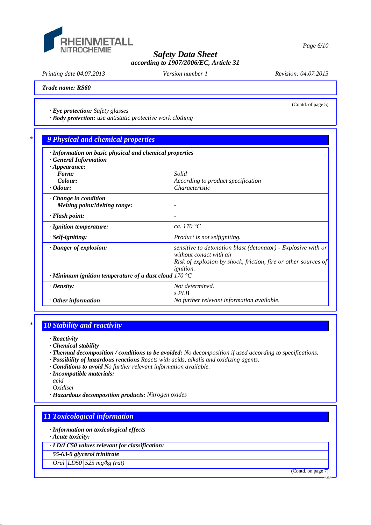

*Printing date 04.07.2013 Revision: 04.07.2013 Version number 1*

(Contd. of page 5)

*Trade name: RS60*

*· Eye protection: Safety glasses*

*· Body protection: use antistatic protective work clothing*

# *\* 9 Physical and chemical properties*

| · Information on basic physical and chemical properties<br>· General Information |                                                                                          |  |  |  |  |
|----------------------------------------------------------------------------------|------------------------------------------------------------------------------------------|--|--|--|--|
| $\cdot$ Appearance:                                                              |                                                                                          |  |  |  |  |
| Form:                                                                            | Solid                                                                                    |  |  |  |  |
| Colour:                                                                          | According to product specification                                                       |  |  |  |  |
| $\cdot$ Odour:                                                                   | Characteristic                                                                           |  |  |  |  |
| $\cdot$ Change in condition                                                      |                                                                                          |  |  |  |  |
| <b>Melting point/Melting range:</b>                                              |                                                                                          |  |  |  |  |
| $\cdot$ Flash point:                                                             |                                                                                          |  |  |  |  |
| $\cdot$ Ignition temperature:                                                    | ca. 170 $\degree$ C                                                                      |  |  |  |  |
| · Self-igniting:                                                                 | Product is not selfigniting.                                                             |  |  |  |  |
| · Danger of explosion:                                                           | sensitive to detonation blast (detonator) - Explosive with or<br>without conact with air |  |  |  |  |
|                                                                                  | Risk of explosion by shock, friction, fire or other sources of                           |  |  |  |  |
| <i>ignition.</i><br>$\cdot$ Minimum ignition temperature of a dust cloud 170 °C  |                                                                                          |  |  |  |  |
| $\cdot$ Density:                                                                 | Not determined.                                                                          |  |  |  |  |
|                                                                                  | S.PLB                                                                                    |  |  |  |  |
| $\cdot$ Other information                                                        | No further relevant information available.                                               |  |  |  |  |

## *\* 10 Stability and reactivity*

*· Reactivity*

*· Chemical stability*

- *· Thermal decomposition / conditions to be avoided: No decomposition if used according to specifications.*
- *· Possibility of hazardous reactions Reacts with acids, alkalis and oxidizing agents.*
- *· Conditions to avoid No further relevant information available.*
- *· Incompatible materials:*
- *acid*
- *Oxidiser*
- *· Hazardous decomposition products: Nitrogen oxides*

# *11 Toxicological information*

*· Information on toxicological effects*

*· Acute toxicity:*

*· LD/LC50 values relevant for classification:*

*55-63-0 glycerol trinitrate*

*Oral LD50 525 mg/kg (rat)*

(Contd. on page 7)

GB

*Page 6/10*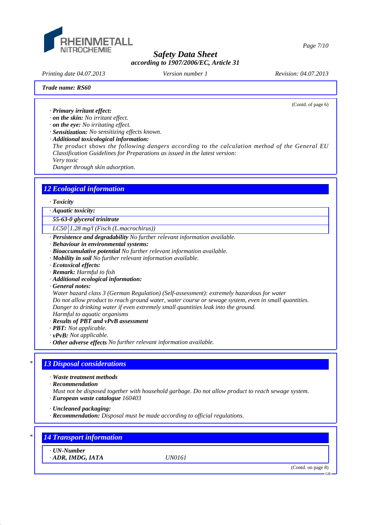

*Printing date 04.07.2013 Revision: 04.07.2013 Version number 1*

(Contd. of page 6)

#### *Trade name: RS60*

*· Primary irritant effect:*

*· on the skin: No irritant effect.*

*· on the eye: No irritating effect.*

*· Sensitization: No sensitizing effects known.*

*· Additional toxicological information:*

*The product shows the following dangers according to the calculation method of the General EU Classification Guidelines for Preparations as issued in the latest version: Very toxic*

*Danger through skin adsorption.*

# *12 Ecological information*

### *· Toxicity*

*· Aquatic toxicity:*

*55-63-0 glycerol trinitrate*

*LC50 1.28 mg/l (Fisch (L.macrochirus))*

*· Persistence and degradability No further relevant information available.*

- *· Behaviour in environmental systems:*
- *· Bioaccumulative potential No further relevant information available.*
- *· Mobility in soil No further relevant information available.*
- *· Ecotoxical effects:*
- *· Remark: Harmful to fish*
- *· Additional ecological information:*
- *· General notes:*

*Water hazard class 3 (German Regulation) (Self-assessment): extremely hazardous for water Do not allow product to reach ground water, water course or sewage system, even in small quantities. Danger to drinking water if even extremely small quantities leak into the ground.*

*Harmful to aquatic organisms*

- *· Results of PBT and vPvB assessment*
- *· PBT: Not applicable.*
- *· vPvB: Not applicable.*
- *· Other adverse effects No further relevant information available.*

### *\* 13 Disposal considerations*

*· Waste treatment methods*

*· Recommendation*

- *Must not be disposed together with household garbage. Do not allow product to reach sewage system.*
- *· European waste catalogue 160403*

*· Uncleaned packaging:*

*· Recommendation: Disposal must be made according to official regulations.*

# *\* 14 Transport information*

*· UN-Number*

*· ADR, IMDG, IATA UN0161*

(Contd. on page 8)

GB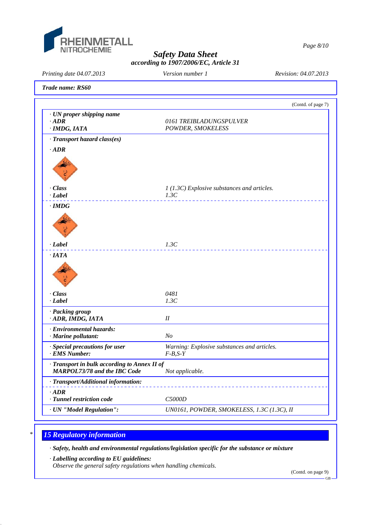

*Page 8/10*

## *Safety Data Sheet according to 1907/2006/EC, Article 31*

*Printing date 04.07.2013 Revision: 04.07.2013 Version number 1*

*Trade name: RS60*

|                                                                                     | (Contd. of page 7)                           |
|-------------------------------------------------------------------------------------|----------------------------------------------|
| · UN proper shipping name<br>$-ADR$<br>· IMDG, IATA                                 | 0161 TREIBLADUNGSPULVER<br>POWDER, SMOKELESS |
| · Transport hazard class(es)                                                        |                                              |
| $\cdot$ ADR                                                                         |                                              |
|                                                                                     |                                              |
| · Class                                                                             | $1(1.3C)$ Explosive substances and articles. |
| $\cdot$ Label                                                                       | 1.3C                                         |
| $\cdot$ IMDG                                                                        |                                              |
|                                                                                     |                                              |
| $-Label$                                                                            | 1.3C                                         |
| $\cdot$ IATA                                                                        |                                              |
|                                                                                     |                                              |
| · Class                                                                             | 0481                                         |
| $\cdot$ Label                                                                       | 1.3C                                         |
| · Packing group<br>· ADR, IMDG, IATA                                                | $I\!I$                                       |
| · Environmental hazards:                                                            |                                              |
| · Marine pollutant:                                                                 | N <sub>o</sub>                               |
| · Special precautions for user                                                      | Warning: Explosive substances and articles.  |
| · EMS Number:                                                                       | $F-B,S-Y$                                    |
| · Transport in bulk according to Annex II of<br><b>MARPOL73/78 and the IBC Code</b> | Not applicable.                              |
| · Transport/Additional information:                                                 |                                              |
|                                                                                     |                                              |
| $\cdot$ ADR<br>· Tunnel restriction code                                            | C5000D                                       |

# *\* 15 Regulatory information*

*· Safety, health and environmental regulations/legislation specific for the substance or mixture*

*· Labelling according to EU guidelines:*

*Observe the general safety regulations when handling chemicals.*

(Contd. on page 9)

GB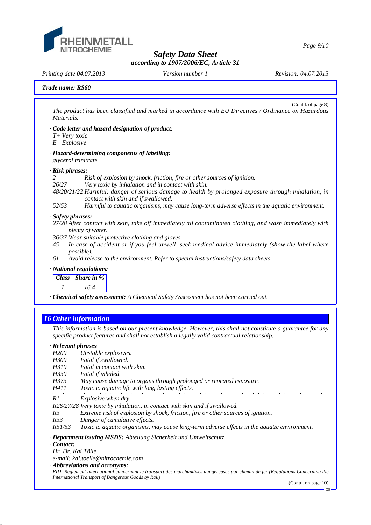

*Page 9/10*

### *Safety Data Sheet according to 1907/2006/EC, Article 31*

*Printing date 04.07.2013 Revision: 04.07.2013 Version number 1*

*Trade name: RS60*

(Contd. of page 8) *The product has been classified and marked in accordance with EU Directives / Ordinance on Hazardous Materials.*

- *· Code letter and hazard designation of product:*
- *T+ Very toxic*
- *E Explosive*

#### *· Hazard-determining components of labelling: glycerol trinitrate*

#### *· Risk phrases:*

*2 Risk of explosion by shock, friction, fire or other sources of ignition.*

*26/27 Very toxic by inhalation and in contact with skin.*

- *48/20/21/22 Harmful: danger of serious damage to health by prolonged exposure through inhalation, in contact with skin and if swallowed.*
- *52/53 Harmful to aquatic organisms, may cause long-term adverse effects in the aquatic environment.*

### *· Safety phrases:*

- *27/28 After contact with skin, take off immediately all contaminated clothing, and wash immediately with plenty of water.*
- *36/37 Wear suitable protective clothing and gloves.*
- *45 In case of accident or if you feel unwell, seek medical advice immediately (show the label where possible).*
- *61 Avoid release to the environment. Refer to special instructions/safety data sheets.*

### *· National regulations:*

| Class Share in % |  |
|------------------|--|
| 16.4             |  |

*· Chemical safety assessment: A Chemical Safety Assessment has not been carried out.*

## *16 Other information*

*This information is based on our present knowledge. However, this shall not constitute a guarantee for any specific product features and shall not establish a legally valid contractual relationship.*

.<br>De la carta de la carta de la carta

### *· Relevant phrases*

- *H200 Unstable explosives.*
- *H300 Fatal if swallowed.*
- *H310 Fatal in contact with skin.*
- *H330 Fatal if inhaled.*
- *H373 May cause damage to organs through prolonged or repeated exposure.*
- *H411 Toxic to aquatic life with long lasting effects.*
- *R1 Explosive when dry.*
- *R26/27/28 Very toxic by inhalation, in contact with skin and if swallowed.*
- *R3 Extreme risk of explosion by shock, friction, fire or other sources of ignition.*
- *R33 Danger of cumulative effects.*

*R51/53 Toxic to aquatic organisms, may cause long-term adverse effects in the aquatic environment.*

*· Department issuing MSDS: Abteilung Sicherheit und Umweltschutz*

*· Contact:*

*Hr. Dr. Kai Tölle*

- *e-mail: kai.toelle@nitrochemie.com*
- *· Abbreviations and acronyms:*

*RID: Règlement international concernant le transport des marchandises dangereuses par chemin de fer (Regulations Concerning the International Transport of Dangerous Goods by Rail)*